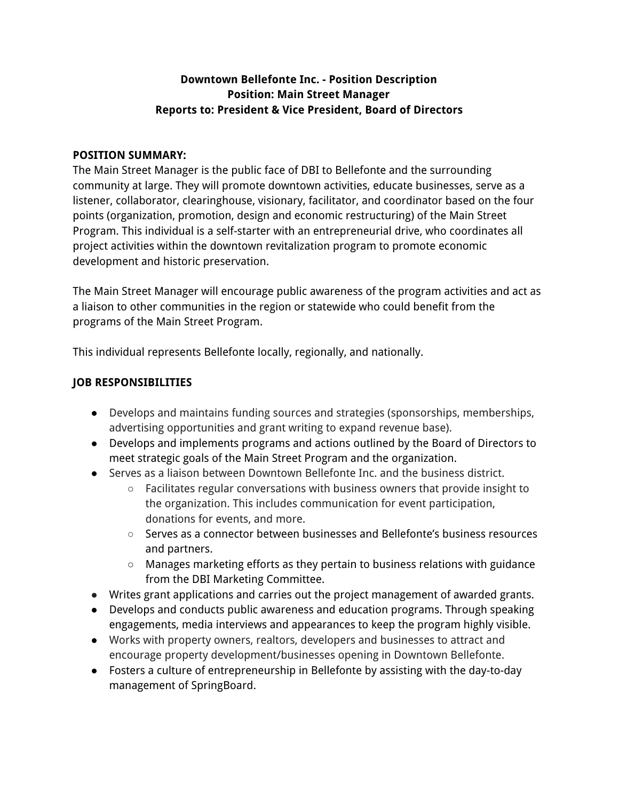#### **Downtown Bellefonte Inc. - Position Description Position: Main Street Manager Reports to: President & Vice President, Board of Directors**

#### **POSITION SUMMARY:**

The Main Street Manager is the public face of DBI to Bellefonte and the surrounding community at large. They will promote downtown activities, educate businesses, serve as a listener, collaborator, clearinghouse, visionary, facilitator, and coordinator based on the four points (organization, promotion, design and economic restructuring) of the Main Street Program. This individual is a self-starter with an entrepreneurial drive, who coordinates all project activities within the downtown revitalization program to promote economic development and historic preservation.

The Main Street Manager will encourage public awareness of the program activities and act as a liaison to other communities in the region or statewide who could benefit from the programs of the Main Street Program.

This individual represents Bellefonte locally, regionally, and nationally.

## **JOB RESPONSIBILITIES**

- Develops and maintains funding sources and strategies (sponsorships, memberships, advertising opportunities and grant writing to expand revenue base).
- Develops and implements programs and actions outlined by the Board of Directors to meet strategic goals of the Main Street Program and the organization.
- Serves as a liaison between Downtown Bellefonte Inc. and the business district.
	- Facilitates regular conversations with business owners that provide insight to the organization. This includes communication for event participation, donations for events, and more.
	- $\circ$  Serves as a connector between businesses and Bellefonte's business resources and partners.
	- Manages marketing efforts as they pertain to business relations with guidance from the DBI Marketing Committee.
- Writes grant applications and carries out the project management of awarded grants.
- Develops and conducts public awareness and education programs. Through speaking engagements, media interviews and appearances to keep the program highly visible.
- Works with property owners, realtors, developers and businesses to attract and encourage property development/businesses opening in Downtown Bellefonte.
- Fosters a culture of entrepreneurship in Bellefonte by assisting with the day-to-day management of SpringBoard.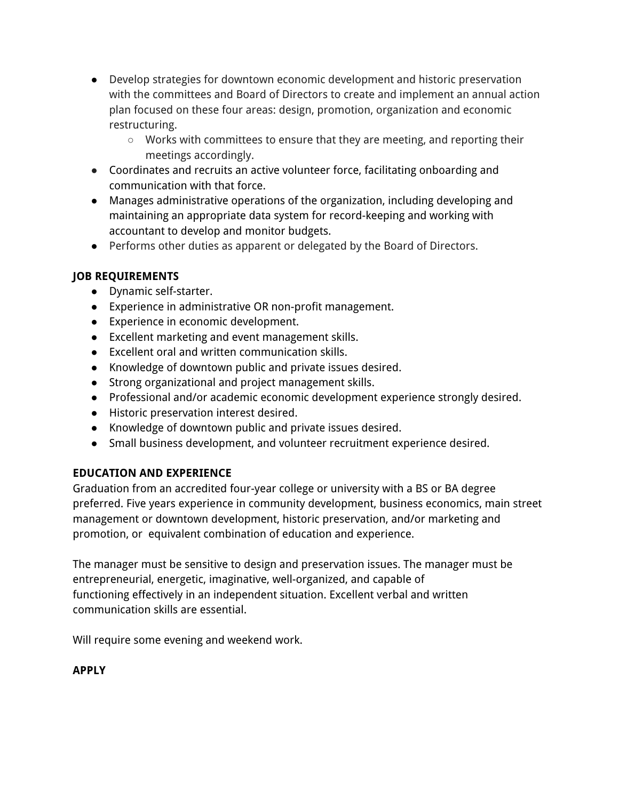- Develop strategies for downtown economic development and historic preservation with the committees and Board of Directors to create and implement an annual action plan focused on these four areas: design, promotion, organization and economic restructuring.
	- $\circ$  Works with committees to ensure that they are meeting, and reporting their meetings accordingly.
- Coordinates and recruits an active volunteer force, facilitating onboarding and communication with that force.
- Manages administrative operations of the organization, including developing and maintaining an appropriate data system for record-keeping and working with accountant to develop and monitor budgets.
- Performs other duties as apparent or delegated by the Board of Directors.

## **JOB REQUIREMENTS**

- Dynamic self-starter.
- Experience in administrative OR non-profit management.
- Experience in economic development.
- Excellent marketing and event management skills.
- Excellent oral and written communication skills.
- Knowledge of downtown public and private issues desired.
- Strong organizational and project management skills.
- Professional and/or academic economic development experience strongly desired.
- Historic preservation interest desired.
- Knowledge of downtown public and private issues desired.
- Small business development, and volunteer recruitment experience desired.

# **EDUCATION AND EXPERIENCE**

Graduation from an accredited four-year college or university with a BS or BA degree preferred. Five years experience in community development, business economics, main street management or downtown development, historic preservation, and/or marketing and promotion, or equivalent combination of education and experience.

The manager must be sensitive to design and preservation issues. The manager must be entrepreneurial, energetic, imaginative, well-organized, and capable of functioning effectively in an independent situation. Excellent verbal and written communication skills are essential.

Will require some evening and weekend work.

## **APPLY**